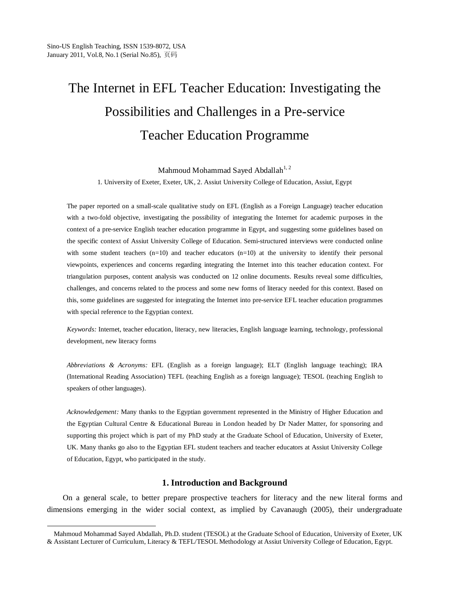-

# The Internet in EFL Teacher Education: Investigating the Possibilities and Challenges in a Pre-service Teacher Education Programme

Mahmoud Mohammad Saved Abdallah<sup>1, 2</sup>

1. University of Exeter, Exeter, UK, 2. Assiut University College of Education, Assiut, Egypt

The paper reported on a small-scale qualitative study on EFL (English as a Foreign Language) teacher education with a two-fold objective, investigating the possibility of integrating the Internet for academic purposes in the context of a pre-service English teacher education programme in Egypt, and suggesting some guidelines based on the specific context of Assiut University College of Education. Semi-structured interviews were conducted online with some student teachers  $(n=10)$  and teacher educators  $(n=10)$  at the university to identify their personal viewpoints, experiences and concerns regarding integrating the Internet into this teacher education context. For triangulation purposes, content analysis was conducted on 12 online documents. Results reveal some difficulties, challenges, and concerns related to the process and some new forms of literacy needed for this context. Based on this, some guidelines are suggested for integrating the Internet into pre-service EFL teacher education programmes with special reference to the Egyptian context.

*Keywords:* Internet, teacher education, literacy, new literacies, English language learning, technology, professional development, new literacy forms

*Abbreviations & Acronyms:* EFL (English as a foreign language); ELT (English language teaching); IRA (International Reading Association) TEFL (teaching English as a foreign language); TESOL (teaching English to speakers of other languages).

*Acknowledgement:* Many thanks to the Egyptian government represented in the Ministry of Higher Education and the Egyptian Cultural Centre & Educational Bureau in London headed by Dr Nader Matter, for sponsoring and supporting this project which is part of my PhD study at the Graduate School of Education, University of Exeter, UK. Many thanks go also to the Egyptian EFL student teachers and teacher educators at Assiut University College of Education, Egypt, who participated in the study.

# **1. Introduction and Background**

On a general scale, to better prepare prospective teachers for literacy and the new literal forms and dimensions emerging in the wider social context, as implied by Cavanaugh (2005), their undergraduate

Mahmoud Mohammad Sayed Abdallah, Ph.D. student (TESOL) at the Graduate School of Education, University of Exeter, UK & Assistant Lecturer of Curriculum, Literacy & TEFL/TESOL Methodology at Assiut University College of Education, Egypt.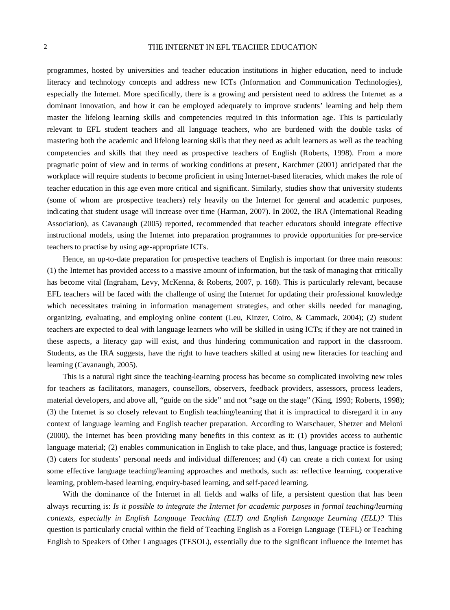programmes, hosted by universities and teacher education institutions in higher education, need to include literacy and technology concepts and address new ICTs (Information and Communication Technologies), especially the Internet. More specifically, there is a growing and persistent need to address the Internet as a dominant innovation, and how it can be employed adequately to improve students' learning and help them master the lifelong learning skills and competencies required in this information age. This is particularly relevant to EFL student teachers and all language teachers, who are burdened with the double tasks of mastering both the academic and lifelong learning skills that they need as adult learners as well as the teaching competencies and skills that they need as prospective teachers of English (Roberts, 1998). From a more pragmatic point of view and in terms of working conditions at present, Karchmer (2001) anticipated that the workplace will require students to become proficient in using Internet-based literacies, which makes the role of teacher education in this age even more critical and significant. Similarly, studies show that university students (some of whom are prospective teachers) rely heavily on the Internet for general and academic purposes, indicating that student usage will increase over time (Harman, 2007). In 2002, the IRA (International Reading Association), as Cavanaugh (2005) reported, recommended that teacher educators should integrate effective instructional models, using the Internet into preparation programmes to provide opportunities for pre-service teachers to practise by using age-appropriate ICTs.

Hence, an up-to-date preparation for prospective teachers of English is important for three main reasons: (1) the Internet has provided access to a massive amount of information, but the task of managing that critically has become vital (Ingraham, Levy, McKenna, & Roberts, 2007, p. 168). This is particularly relevant, because EFL teachers will be faced with the challenge of using the Internet for updating their professional knowledge which necessitates training in information management strategies, and other skills needed for managing, organizing, evaluating, and employing online content (Leu, Kinzer, Coiro, & Cammack, 2004); (2) student teachers are expected to deal with language learners who will be skilled in using ICTs; if they are not trained in these aspects, a literacy gap will exist, and thus hindering communication and rapport in the classroom. Students, as the IRA suggests, have the right to have teachers skilled at using new literacies for teaching and learning (Cavanaugh, 2005).

This is a natural right since the teaching-learning process has become so complicated involving new roles for teachers as facilitators, managers, counsellors, observers, feedback providers, assessors, process leaders, material developers, and above all, "guide on the side" and not "sage on the stage" (King, 1993; Roberts, 1998); (3) the Internet is so closely relevant to English teaching/learning that it is impractical to disregard it in any context of language learning and English teacher preparation. According to Warschauer, Shetzer and Meloni (2000), the Internet has been providing many benefits in this context as it: (1) provides access to authentic language material; (2) enables communication in English to take place, and thus, language practice is fostered; (3) caters for students' personal needs and individual differences; and (4) can create a rich context for using some effective language teaching/learning approaches and methods, such as: reflective learning, cooperative learning, problem-based learning, enquiry-based learning, and self-paced learning.

With the dominance of the Internet in all fields and walks of life, a persistent question that has been always recurring is: *Is it possible to integrate the Internet for academic purposes in formal teaching/learning contexts, especially in English Language Teaching (ELT) and English Language Learning (ELL)?* This question is particularly crucial within the field of Teaching English as a Foreign Language (TEFL) or Teaching English to Speakers of Other Languages (TESOL), essentially due to the significant influence the Internet has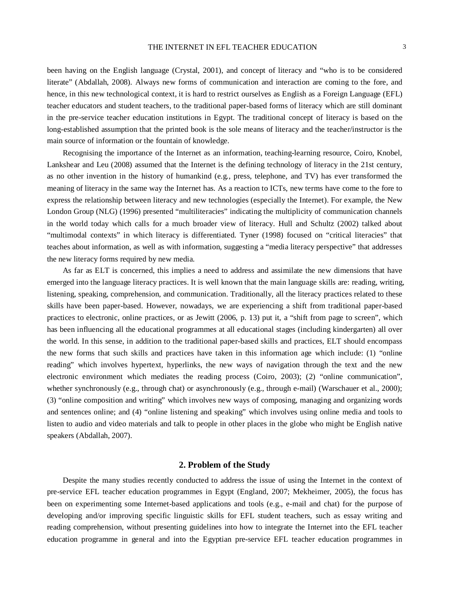been having on the English language (Crystal, 2001), and concept of literacy and "who is to be considered literate" (Abdallah, 2008). Always new forms of communication and interaction are coming to the fore, and hence, in this new technological context, it is hard to restrict ourselves as English as a Foreign Language (EFL) teacher educators and student teachers, to the traditional paper-based forms of literacy which are still dominant in the pre-service teacher education institutions in Egypt. The traditional concept of literacy is based on the long-established assumption that the printed book is the sole means of literacy and the teacher/instructor is the main source of information or the fountain of knowledge.

Recognising the importance of the Internet as an information, teaching-learning resource, Coiro, Knobel, Lankshear and Leu (2008) assumed that the Internet is the defining technology of literacy in the 21st century, as no other invention in the history of humankind (e.g., press, telephone, and TV) has ever transformed the meaning of literacy in the same way the Internet has. As a reaction to ICTs, new terms have come to the fore to express the relationship between literacy and new technologies (especially the Internet). For example, the New London Group (NLG) (1996) presented "multiliteracies" indicating the multiplicity of communication channels in the world today which calls for a much broader view of literacy. Hull and Schultz (2002) talked about "multimodal contexts" in which literacy is differentiated. Tyner (1998) focused on "critical literacies" that teaches about information, as well as with information, suggesting a "media literacy perspective" that addresses the new literacy forms required by new media.

As far as ELT is concerned, this implies a need to address and assimilate the new dimensions that have emerged into the language literacy practices. It is well known that the main language skills are: reading, writing, listening, speaking, comprehension, and communication. Traditionally, all the literacy practices related to these skills have been paper-based. However, nowadays, we are experiencing a shift from traditional paper-based practices to electronic, online practices, or as Jewitt (2006, p. 13) put it, a "shift from page to screen", which has been influencing all the educational programmes at all educational stages (including kindergarten) all over the world. In this sense, in addition to the traditional paper-based skills and practices, ELT should encompass the new forms that such skills and practices have taken in this information age which include: (1) "online reading" which involves hypertext, hyperlinks, the new ways of navigation through the text and the new electronic environment which mediates the reading process (Coiro, 2003); (2) "online communication", whether synchronously (e.g., through chat) or asynchronously (e.g., through e-mail) (Warschauer et al., 2000); (3) "online composition and writing" which involves new ways of composing, managing and organizing words and sentences online; and (4) "online listening and speaking" which involves using online media and tools to listen to audio and video materials and talk to people in other places in the globe who might be English native speakers (Abdallah, 2007).

# **2. Problem of the Study**

Despite the many studies recently conducted to address the issue of using the Internet in the context of pre-service EFL teacher education programmes in Egypt (England, 2007; Mekheimer, 2005), the focus has been on experimenting some Internet-based applications and tools (e.g., e-mail and chat) for the purpose of developing and/or improving specific linguistic skills for EFL student teachers, such as essay writing and reading comprehension, without presenting guidelines into how to integrate the Internet into the EFL teacher education programme in general and into the Egyptian pre-service EFL teacher education programmes in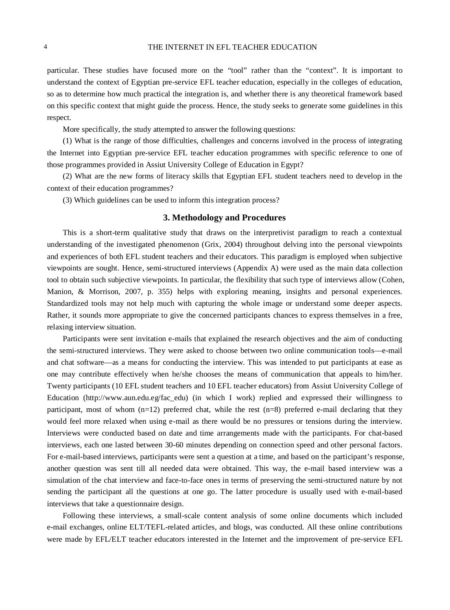particular. These studies have focused more on the "tool" rather than the "context". It is important to understand the context of Egyptian pre-service EFL teacher education, especially in the colleges of education, so as to determine how much practical the integration is, and whether there is any theoretical framework based on this specific context that might guide the process. Hence, the study seeks to generate some guidelines in this respect.

More specifically, the study attempted to answer the following questions:

(1) What is the range of those difficulties, challenges and concerns involved in the process of integrating the Internet into Egyptian pre-service EFL teacher education programmes with specific reference to one of those programmes provided in Assiut University College of Education in Egypt?

(2) What are the new forms of literacy skills that Egyptian EFL student teachers need to develop in the context of their education programmes?

(3) Which guidelines can be used to inform this integration process?

# **3. Methodology and Procedures**

This is a short-term qualitative study that draws on the interpretivist paradigm to reach a contextual understanding of the investigated phenomenon (Grix, 2004) throughout delving into the personal viewpoints and experiences of both EFL student teachers and their educators. This paradigm is employed when subjective viewpoints are sought. Hence, semi-structured interviews (Appendix A) were used as the main data collection tool to obtain such subjective viewpoints. In particular, the flexibility that such type of interviews allow (Cohen, Manion, & Morrison, 2007, p. 355) helps with exploring meaning, insights and personal experiences. Standardized tools may not help much with capturing the whole image or understand some deeper aspects. Rather, it sounds more appropriate to give the concerned participants chances to express themselves in a free, relaxing interview situation.

Participants were sent invitation e-mails that explained the research objectives and the aim of conducting the semi-structured interviews. They were asked to choose between two online communication tools—e-mail and chat software—as a means for conducting the interview. This was intended to put participants at ease as one may contribute effectively when he/she chooses the means of communication that appeals to him/her. Twenty participants (10 EFL student teachers and 10 EFL teacher educators) from Assiut University College of Education (http://www.aun.edu.eg/fac\_edu) (in which I work) replied and expressed their willingness to participant, most of whom  $(n=12)$  preferred chat, while the rest  $(n=8)$  preferred e-mail declaring that they would feel more relaxed when using e-mail as there would be no pressures or tensions during the interview. Interviews were conducted based on date and time arrangements made with the participants. For chat-based interviews, each one lasted between 30-60 minutes depending on connection speed and other personal factors. For e-mail-based interviews, participants were sent a question at a time, and based on the participant's response, another question was sent till all needed data were obtained. This way, the e-mail based interview was a simulation of the chat interview and face-to-face ones in terms of preserving the semi-structured nature by not sending the participant all the questions at one go. The latter procedure is usually used with e-mail-based interviews that take a questionnaire design.

Following these interviews, a small-scale content analysis of some online documents which included e-mail exchanges, online ELT/TEFL-related articles, and blogs, was conducted. All these online contributions were made by EFL/ELT teacher educators interested in the Internet and the improvement of pre-service EFL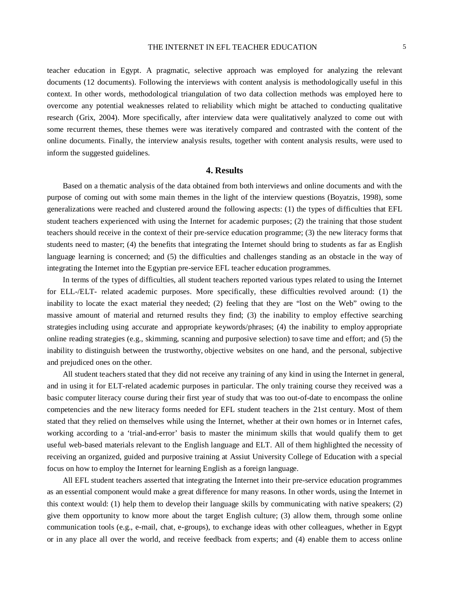teacher education in Egypt. A pragmatic, selective approach was employed for analyzing the relevant documents (12 documents). Following the interviews with content analysis is methodologically useful in this context. In other words, methodological triangulation of two data collection methods was employed here to overcome any potential weaknesses related to reliability which might be attached to conducting qualitative research (Grix, 2004). More specifically, after interview data were qualitatively analyzed to come out with some recurrent themes, these themes were was iteratively compared and contrasted with the content of the online documents. Finally, the interview analysis results, together with content analysis results, were used to inform the suggested guidelines.

# **4. Results**

Based on a thematic analysis of the data obtained from both interviews and online documents and with the purpose of coming out with some main themes in the light of the interview questions (Boyatzis, 1998), some generalizations were reached and clustered around the following aspects: (1) the types of difficulties that EFL student teachers experienced with using the Internet for academic purposes; (2) the training that those student teachers should receive in the context of their pre-service education programme; (3) the new literacy forms that students need to master; (4) the benefits that integrating the Internet should bring to students as far as English language learning is concerned; and (5) the difficulties and challenges standing as an obstacle in the way of integrating the Internet into the Egyptian pre-service EFL teacher education programmes.

In terms of the types of difficulties, all student teachers reported various types related to using the Internet for ELL-/ELT- related academic purposes. More specifically, these difficulties revolved around: (1) the inability to locate the exact material they needed; (2) feeling that they are "lost on the Web" owing to the massive amount of material and returned results they find; (3) the inability to employ effective searching strategies including using accurate and appropriate keywords/phrases; (4) the inability to employ appropriate online reading strategies (e.g., skimming, scanning and purposive selection) to save time and effort; and (5) the inability to distinguish between the trustworthy, objective websites on one hand, and the personal, subjective and prejudiced ones on the other.

All student teachers stated that they did not receive any training of any kind in using the Internet in general, and in using it for ELT-related academic purposes in particular. The only training course they received was a basic computer literacy course during their first year of study that was too out-of-date to encompass the online competencies and the new literacy forms needed for EFL student teachers in the 21st century. Most of them stated that they relied on themselves while using the Internet, whether at their own homes or in Internet cafes, working according to a 'trial-and-error' basis to master the minimum skills that would qualify them to get useful web-based materials relevant to the English language and ELT. All of them highlighted the necessity of receiving an organized, guided and purposive training at Assiut University College of Education with a special focus on how to employ the Internet for learning English as a foreign language.

All EFL student teachers asserted that integrating the Internet into their pre-service education programmes as an essential component would make a great difference for many reasons. In other words, using the Internet in this context would: (1) help them to develop their language skills by communicating with native speakers; (2) give them opportunity to know more about the target English culture; (3) allow them, through some online communication tools (e.g., e-mail, chat, e-groups), to exchange ideas with other colleagues, whether in Egypt or in any place all over the world, and receive feedback from experts; and (4) enable them to access online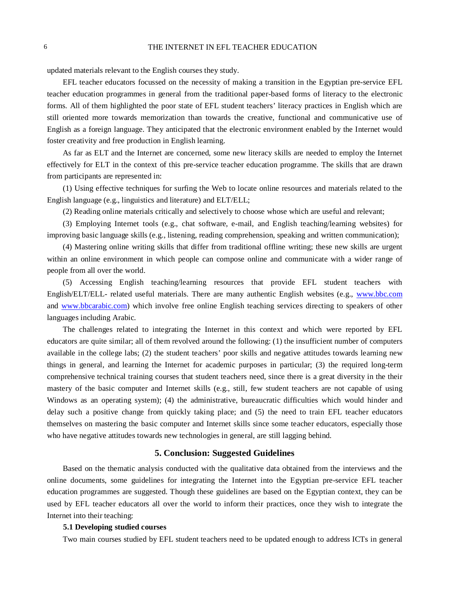updated materials relevant to the English courses they study.

EFL teacher educators focussed on the necessity of making a transition in the Egyptian pre-service EFL teacher education programmes in general from the traditional paper-based forms of literacy to the electronic forms. All of them highlighted the poor state of EFL student teachers' literacy practices in English which are still oriented more towards memorization than towards the creative, functional and communicative use of English as a foreign language. They anticipated that the electronic environment enabled by the Internet would foster creativity and free production in English learning.

As far as ELT and the Internet are concerned, some new literacy skills are needed to employ the Internet effectively for ELT in the context of this pre-service teacher education programme. The skills that are drawn from participants are represented in:

(1) Using effective techniques for surfing the Web to locate online resources and materials related to the English language (e.g., linguistics and literature) and ELT/ELL;

(2) Reading online materials critically and selectively to choose whose which are useful and relevant;

(3) Employing Internet tools (e.g., chat software, e-mail, and English teaching/learning websites) for improving basic language skills (e.g., listening, reading comprehension, speaking and written communication);

(4) Mastering online writing skills that differ from traditional offline writing; these new skills are urgent within an online environment in which people can compose online and communicate with a wider range of people from all over the world.

(5) Accessing English teaching/learning resources that provide EFL student teachers with English/ELT/ELL- related useful materials. There are many authentic English websites (e.g., [www.bbc.com](http://www.bbc.com/) and [www.bbcarabic.com\)](http://www.bbcarabic.com/) which involve free online English teaching services directing to speakers of other languages including Arabic.

The challenges related to integrating the Internet in this context and which were reported by EFL educators are quite similar; all of them revolved around the following: (1) the insufficient number of computers available in the college labs; (2) the student teachers' poor skills and negative attitudes towards learning new things in general, and learning the Internet for academic purposes in particular; (3) the required long-term comprehensive technical training courses that student teachers need, since there is a great diversity in the their mastery of the basic computer and Internet skills (e.g., still, few student teachers are not capable of using Windows as an operating system); (4) the administrative, bureaucratic difficulties which would hinder and delay such a positive change from quickly taking place; and (5) the need to train EFL teacher educators themselves on mastering the basic computer and Internet skills since some teacher educators, especially those who have negative attitudes towards new technologies in general, are still lagging behind.

## **5. Conclusion: Suggested Guidelines**

Based on the thematic analysis conducted with the qualitative data obtained from the interviews and the online documents, some guidelines for integrating the Internet into the Egyptian pre-service EFL teacher education programmes are suggested. Though these guidelines are based on the Egyptian context, they can be used by EFL teacher educators all over the world to inform their practices, once they wish to integrate the Internet into their teaching:

## **5.1 Developing studied courses**

Two main courses studied by EFL student teachers need to be updated enough to address ICTs in general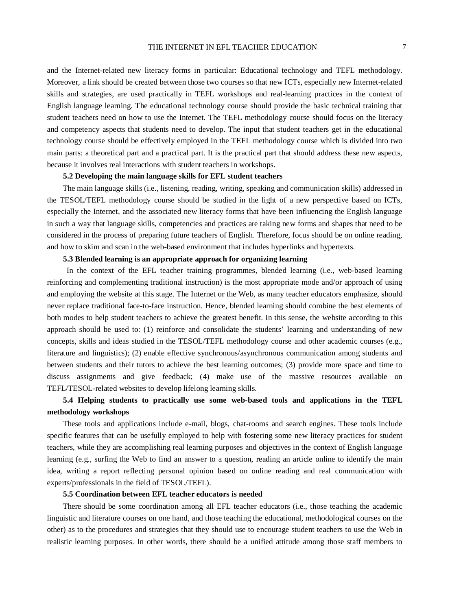and the Internet-related new literacy forms in particular: Educational technology and TEFL methodology. Moreover, a link should be created between those two courses so that new ICTs, especially new Internet-related skills and strategies, are used practically in TEFL workshops and real-learning practices in the context of English language learning. The educational technology course should provide the basic technical training that student teachers need on how to use the Internet. The TEFL methodology course should focus on the literacy and competency aspects that students need to develop. The input that student teachers get in the educational technology course should be effectively employed in the TEFL methodology course which is divided into two main parts: a theoretical part and a practical part. It is the practical part that should address these new aspects, because it involves real interactions with student teachers in workshops.

## **5.2 Developing the main language skills for EFL student teachers**

The main language skills (i.e., listening, reading, writing, speaking and communication skills) addressed in the TESOL/TEFL methodology course should be studied in the light of a new perspective based on ICTs, especially the Internet, and the associated new literacy forms that have been influencing the English language in such a way that language skills, competencies and practices are taking new forms and shapes that need to be considered in the process of preparing future teachers of English. Therefore, focus should be on online reading, and how to skim and scan in the web-based environment that includes hyperlinks and hypertexts.

# **5.3 Blended learning is an appropriate approach for organizing learning**

In the context of the EFL teacher training programmes, blended learning (i.e., web-based learning reinforcing and complementing traditional instruction) is the most appropriate mode and/or approach of using and employing the website at this stage. The Internet or the Web, as many teacher educators emphasize, should never replace traditional face-to-face instruction. Hence, blended learning should combine the best elements of both modes to help student teachers to achieve the greatest benefit. In this sense, the website according to this approach should be used to: (1) reinforce and consolidate the students' learning and understanding of new concepts, skills and ideas studied in the TESOL/TEFL methodology course and other academic courses (e.g., literature and linguistics); (2) enable effective synchronous/asynchronous communication among students and between students and their tutors to achieve the best learning outcomes; (3) provide more space and time to discuss assignments and give feedback; (4) make use of the massive resources available on TEFL/TESOL-related websites to develop lifelong learning skills.

# **5.4 Helping students to practically use some web-based tools and applications in the TEFL methodology workshops**

These tools and applications include e-mail, blogs, chat-rooms and search engines. These tools include specific features that can be usefully employed to help with fostering some new literacy practices for student teachers, while they are accomplishing real learning purposes and objectives in the context of English language learning (e.g., surfing the Web to find an answer to a question, reading an article online to identify the main idea, writing a report reflecting personal opinion based on online reading and real communication with experts/professionals in the field of TESOL/TEFL).

## **5.5 Coordination between EFL teacher educators is needed**

There should be some coordination among all EFL teacher educators (i.e., those teaching the academic linguistic and literature courses on one hand, and those teaching the educational, methodological courses on the other) as to the procedures and strategies that they should use to encourage student teachers to use the Web in realistic learning purposes. In other words, there should be a unified attitude among those staff members to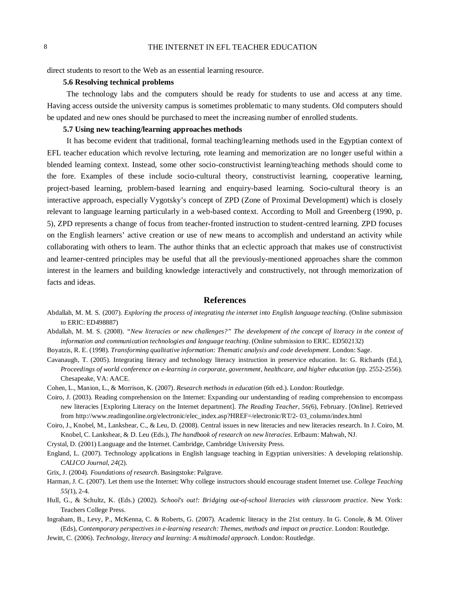## 8 THE INTERNET IN EFL TEACHER EDUCATION

direct students to resort to the Web as an essential learning resource.

## **5.6 Resolving technical problems**

The technology labs and the computers should be ready for students to use and access at any time. Having access outside the university campus is sometimes problematic to many students. Old computers should be updated and new ones should be purchased to meet the increasing number of enrolled students.

# **5.7 Using new teaching/learning approaches methods**

It has become evident that traditional, formal teaching/learning methods used in the Egyptian context of EFL teacher education which revolve lecturing, rote learning and memorization are no longer useful within a blended learning context. Instead, some other socio-constructivist learning/teaching methods should come to the fore. Examples of these include socio-cultural theory, constructivist learning, cooperative learning, project-based learning, problem-based learning and enquiry-based learning. Socio-cultural theory is an interactive approach, especially Vygotsky's concept of ZPD (Zone of Proximal Development) which is closely relevant to language learning particularly in a web-based context. According to Moll and Greenberg (1990, p. 5), ZPD represents a change of focus from teacher-fronted instruction to student-centred learning. ZPD focuses on the English learners' active creation or use of new means to accomplish and understand an activity while collaborating with others to learn. The author thinks that an eclectic approach that makes use of constructivist and learner-centred principles may be useful that all the previously-mentioned approaches share the common interest in the learners and building knowledge interactively and constructively, not through memorization of facts and ideas.

# **References**

- Abdallah, M. M. S. (2007). *Exploring the process of integrating the internet into English language teaching*. (Online submission to ERIC: ED498887)
- Abdallah, M. M. S. (2008). *"New literacies or new challenges?" The development of the concept of literacy in the context of information and communication technologies and language teaching*. (Online submission to ERIC. ED502132)
- Boyatzis, R. E. (1998). *Transforming qualitative information: Thematic analysis and code development*. London: Sage.
- Cavanaugh, T. (2005). Integrating literacy and technology literacy instruction in preservice education. In: G. Richards (Ed.), *Proceedings of world conference on e-learning in corporate, government, healthcare, and higher education* (pp. 2552-2556). Chesapeake, VA: AACE.
- Cohen, L., Manion, L., & Morrison, K. (2007). *Research methods in education* (6th ed.). London: Routledge.
- Coiro, J. (2003). Reading comprehension on the Internet: Expanding our understanding of reading comprehension to encompass new literacies [Exploring Literacy on the Internet department]. *The Reading Teacher, 56(*6), February. [Online]. Retrieved from http://www.readingonline.org/electronic/elec\_index.asp?HREF=/electronic/RT/2- 03\_column/index.html
- Coiro, J., Knobel, M., Lankshear, C., & Leu, D. (2008). Central issues in new literacies and new literacies research. In J. Coiro, M. Knobel, C. Lankshear, & D. Leu (Eds.), *The handbook of research on new literacies*. Erlbaum: Mahwah, NJ.
- Crystal, D. (2001) Language and the Internet. Cambridge, Cambridge University Press.
- England, L. (2007). Technology applications in English language teaching in Egyptian universities: A developing relationship. *CALICO Journal*, *24*(2).
- Grix, J. (2004). *Foundations of research*. Basingstoke: Palgrave.
- Harman, J. C. (2007). Let them use the Internet: Why college instructors should encourage student Internet use. *College Teaching 55(*1), 2-4.
- Hull, G., & Schultz, K. (Eds.) (2002). *School's out!: Bridging out-of-school literacies with classroom practice*. New York: Teachers College Press.
- Ingraham, B., Levy, P., McKenna, C. & Roberts, G. (2007). Academic literacy in the 21st century. In G. Conole, & M. Oliver (Eds), *Contemporary perspectives in e-learning research: Themes, methods and impact on practice*. London: Routledge.
- Jewitt, C. (2006). *Technology, literacy and learning: A multimodal approach*. London: Routledge.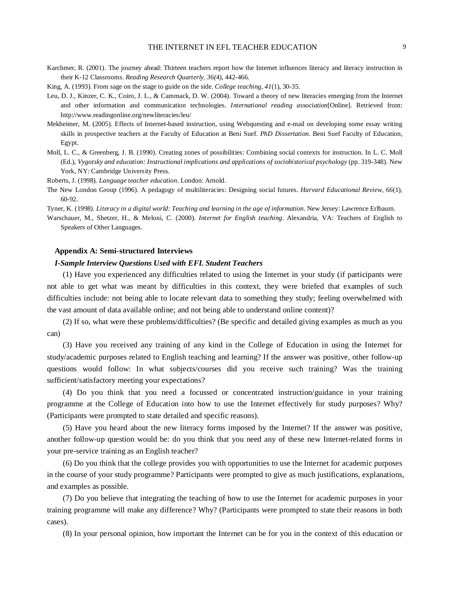- Karchmer, R. (2001). The journey ahead: Thirteen teachers report how the Internet influences literacy and literacy instruction in their K-12 Classrooms. *Reading Research Quarterly*. *36(*4), 442-466.
- King, A. (1993). From sage on the stage to guide on the side. *College teaching*, *41*(1), 30-35.
- Leu, D. J., Kinzer, C. K., Coiro, J. L., & Cammack, D. W. (2004). Toward a theory of new literacies emerging from the Internet and other information and communication technologies. *International reading association*[Online]. Retrieved from: http://www.readingonline.org/newliteracies/leu/
- Mekheimer, M. (2005). Effects of Internet-based instruction, using Webquesting and e-mail on developing some essay writing skills in prospective teachers at the Faculty of Education at Beni Suef. *PhD Dissertation*. Beni Suef Faculty of Education, Egypt.
- Moll, L. C., & Greenberg, J. B. (1990). Creating zones of possibilities: Combining social contexts for instruction. In L. C. Moll (Ed.), *Vygotsky and education: Instructional implications and applications of sociohistorical psychology* (pp. 319-348). New York, NY: Cambridge University Press.
- Roberts, J. (1998). *Language teacher education*. London: Arnold.
- The New London Group (1996). A pedagogy of multiliteracies: Designing social futures. *Harvard Educational Review*, *66*(1), 60-92.

Tyner, K. (1998). *Literacy in a digital world: Teaching and learning in the age of information*. New Jersey: Lawrence Erlbaum.

Warschauer, M., Shetzer, H., & Meloni, C. (2000). *Internet for English teaching*. Alexandria, VA: Teachers of English to Speakers of Other Languages.

### **Appendix A: Semi-structured Interviews**

### *I-Sample Interview Questions Used with EFL Student Teachers*

(1) Have you experienced any difficulties related to using the Internet in your study (if participants were not able to get what was meant by difficulties in this context, they were briefed that examples of such difficulties include: not being able to locate relevant data to something they study; feeling overwhelmed with the vast amount of data available online; and not being able to understand online content)?

(2) If so, what were these problems/difficulties? (Be specific and detailed giving examples as much as you can)

(3) Have you received any training of any kind in the College of Education in using the Internet for study/academic purposes related to English teaching and learning? If the answer was positive, other follow-up questions would follow: In what subjects/courses did you receive such training? Was the training sufficient/satisfactory meeting your expectations?

(4) Do you think that you need a focussed or concentrated instruction/guidance in your training programme at the College of Education into how to use the Internet effectively for study purposes? Why? (Participants were prompted to state detailed and specific reasons).

(5) Have you heard about the new literacy forms imposed by the Internet? If the answer was positive, another follow-up question would be: do you think that you need any of these new Internet-related forms in your pre-service training as an English teacher?

(6) Do you think that the college provides you with opportunities to use the Internet for academic purposes in the course of your study programme? Participants were prompted to give as much justifications, explanations, and examples as possible.

(7) Do you believe that integrating the teaching of how to use the Internet for academic purposes in your training programme will make any difference? Why? (Participants were prompted to state their reasons in both cases).

(8) In your personal opinion, how important the Internet can be for you in the context of this education or